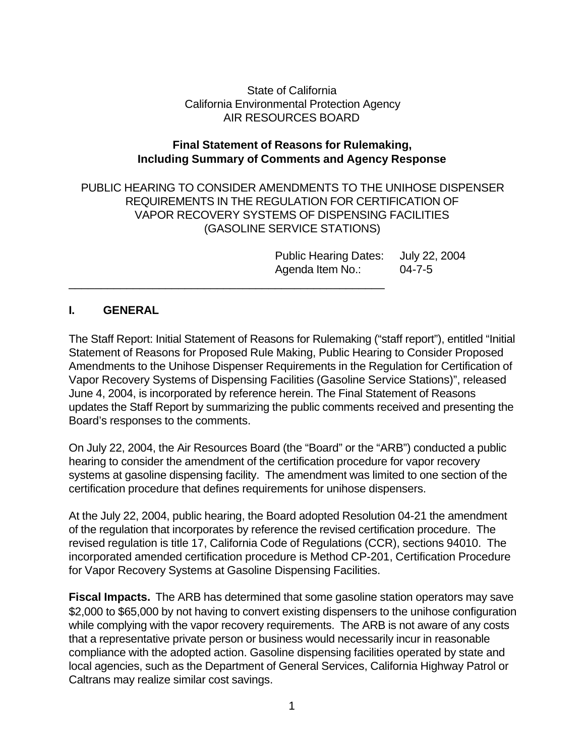State of California California Environmental Protection Agency AIR RESOURCES BOARD

## **Final Statement of Reasons for Rulemaking, Including Summary of Comments and Agency Response**

PUBLIC HEARING TO CONSIDER AMENDMENTS TO THE UNIHOSE DISPENSER REQUIREMENTS IN THE REGULATION FOR CERTIFICATION OF VAPOR RECOVERY SYSTEMS OF DISPENSING FACILITIES (GASOLINE SERVICE STATIONS)

\_\_\_\_\_\_\_\_\_\_\_\_\_\_\_\_\_\_\_\_\_\_\_\_\_\_\_\_\_\_\_\_\_\_\_\_\_\_\_\_\_\_\_\_\_\_\_\_\_

Public Hearing Dates: July 22, 2004 Agenda Item No.: 04-7-5

## **I. GENERAL**

The Staff Report: Initial Statement of Reasons for Rulemaking ("staff report"), entitled "Initial Statement of Reasons for Proposed Rule Making, Public Hearing to Consider Proposed Amendments to the Unihose Dispenser Requirements in the Regulation for Certification of Vapor Recovery Systems of Dispensing Facilities (Gasoline Service Stations)", released June 4, 2004, is incorporated by reference herein. The Final Statement of Reasons updates the Staff Report by summarizing the public comments received and presenting the Board's responses to the comments.

On July 22, 2004, the Air Resources Board (the "Board" or the "ARB") conducted a public hearing to consider the amendment of the certification procedure for vapor recovery systems at gasoline dispensing facility. The amendment was limited to one section of the certification procedure that defines requirements for unihose dispensers.

At the July 22, 2004, public hearing, the Board adopted Resolution 04-21 the amendment of the regulation that incorporates by reference the revised certification procedure. The revised regulation is title 17, California Code of Regulations (CCR), sections 94010. The incorporated amended certification procedure is Method CP-201, Certification Procedure for Vapor Recovery Systems at Gasoline Dispensing Facilities.

**Fiscal Impacts.** The ARB has determined that some gasoline station operators may save \$2,000 to \$65,000 by not having to convert existing dispensers to the unihose configuration while complying with the vapor recovery requirements. The ARB is not aware of any costs that a representative private person or business would necessarily incur in reasonable compliance with the adopted action. Gasoline dispensing facilities operated by state and local agencies, such as the Department of General Services, California Highway Patrol or Caltrans may realize similar cost savings.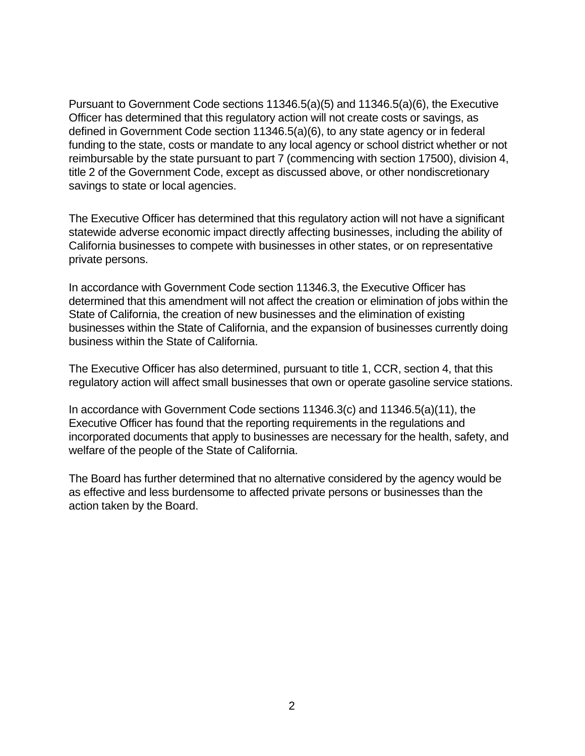Pursuant to Government Code sections 11346.5(a)(5) and 11346.5(a)(6), the Executive Officer has determined that this regulatory action will not create costs or savings, as defined in Government Code section 11346.5(a)(6), to any state agency or in federal funding to the state, costs or mandate to any local agency or school district whether or not reimbursable by the state pursuant to part 7 (commencing with section 17500), division 4, title 2 of the Government Code, except as discussed above, or other nondiscretionary savings to state or local agencies.

The Executive Officer has determined that this regulatory action will not have a significant statewide adverse economic impact directly affecting businesses, including the ability of California businesses to compete with businesses in other states, or on representative private persons.

In accordance with Government Code section 11346.3, the Executive Officer has determined that this amendment will not affect the creation or elimination of jobs within the State of California, the creation of new businesses and the elimination of existing businesses within the State of California, and the expansion of businesses currently doing business within the State of California.

The Executive Officer has also determined, pursuant to title 1, CCR, section 4, that this regulatory action will affect small businesses that own or operate gasoline service stations.

In accordance with Government Code sections 11346.3(c) and 11346.5(a)(11), the Executive Officer has found that the reporting requirements in the regulations and incorporated documents that apply to businesses are necessary for the health, safety, and welfare of the people of the State of California.

The Board has further determined that no alternative considered by the agency would be as effective and less burdensome to affected private persons or businesses than the action taken by the Board.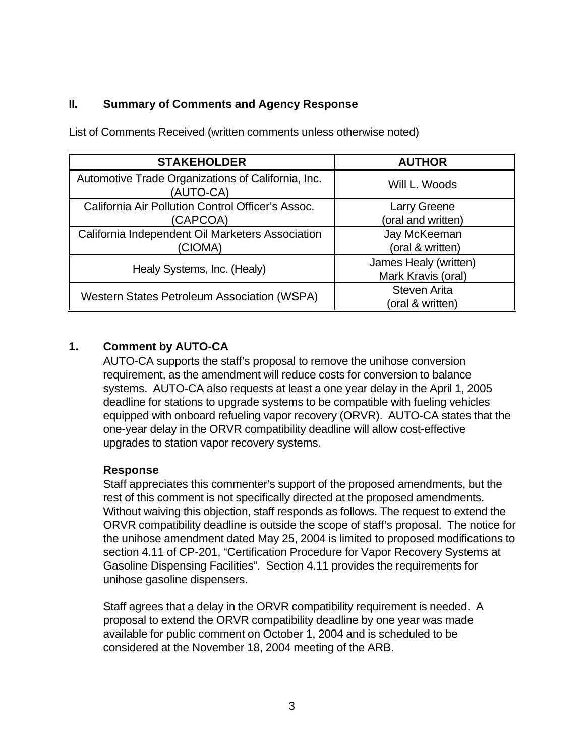# **II. Summary of Comments and Agency Response**

| <b>STAKEHOLDER</b>                                              | <b>AUTHOR</b>         |
|-----------------------------------------------------------------|-----------------------|
| Automotive Trade Organizations of California, Inc.<br>(AUTO-CA) | Will L. Woods         |
| California Air Pollution Control Officer's Assoc.               | <b>Larry Greene</b>   |
| (CAPCOA)                                                        | (oral and written)    |
| California Independent Oil Marketers Association                | Jay McKeeman          |
| (CIOMA)                                                         | (oral & written)      |
| Healy Systems, Inc. (Healy)                                     | James Healy (written) |
|                                                                 | Mark Kravis (oral)    |
| <b>Western States Petroleum Association (WSPA)</b>              | <b>Steven Arita</b>   |
|                                                                 | (oral & written)      |

List of Comments Received (written comments unless otherwise noted)

# **1. Comment by AUTO-CA**

AUTO-CA supports the staff's proposal to remove the unihose conversion requirement, as the amendment will reduce costs for conversion to balance systems. AUTO-CA also requests at least a one year delay in the April 1, 2005 deadline for stations to upgrade systems to be compatible with fueling vehicles equipped with onboard refueling vapor recovery (ORVR). AUTO-CA states that the one-year delay in the ORVR compatibility deadline will allow cost-effective upgrades to station vapor recovery systems.

# **Response**

Staff appreciates this commenter's support of the proposed amendments, but the rest of this comment is not specifically directed at the proposed amendments. Without waiving this objection, staff responds as follows. The request to extend the ORVR compatibility deadline is outside the scope of staff's proposal. The notice for the unihose amendment dated May 25, 2004 is limited to proposed modifications to section 4.11 of CP-201, "Certification Procedure for Vapor Recovery Systems at Gasoline Dispensing Facilities". Section 4.11 provides the requirements for unihose gasoline dispensers.

Staff agrees that a delay in the ORVR compatibility requirement is needed. A proposal to extend the ORVR compatibility deadline by one year was made available for public comment on October 1, 2004 and is scheduled to be considered at the November 18, 2004 meeting of the ARB.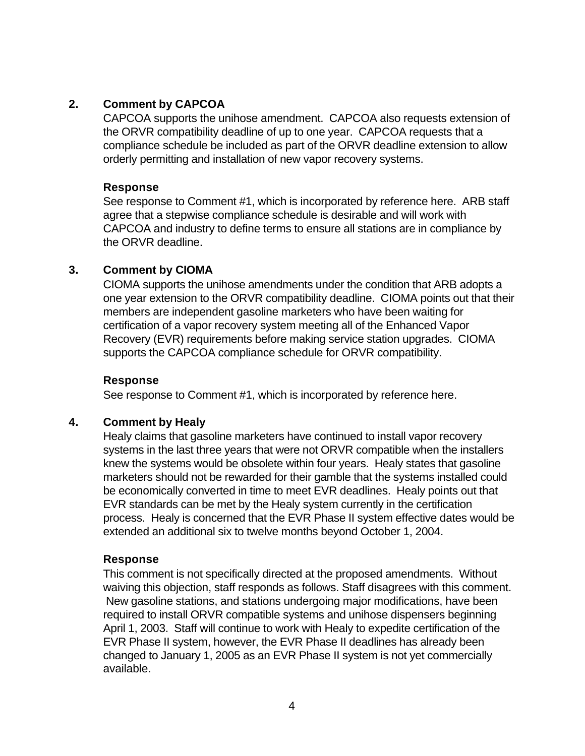## **2. Comment by CAPCOA**

CAPCOA supports the unihose amendment. CAPCOA also requests extension of the ORVR compatibility deadline of up to one year. CAPCOA requests that a compliance schedule be included as part of the ORVR deadline extension to allow orderly permitting and installation of new vapor recovery systems.

### **Response**

See response to Comment #1, which is incorporated by reference here. ARB staff agree that a stepwise compliance schedule is desirable and will work with CAPCOA and industry to define terms to ensure all stations are in compliance by the ORVR deadline.

## **3. Comment by CIOMA**

CIOMA supports the unihose amendments under the condition that ARB adopts a one year extension to the ORVR compatibility deadline. CIOMA points out that their members are independent gasoline marketers who have been waiting for certification of a vapor recovery system meeting all of the Enhanced Vapor Recovery (EVR) requirements before making service station upgrades. CIOMA supports the CAPCOA compliance schedule for ORVR compatibility.

## **Response**

See response to Comment #1, which is incorporated by reference here.

## **4. Comment by Healy**

Healy claims that gasoline marketers have continued to install vapor recovery systems in the last three years that were not ORVR compatible when the installers knew the systems would be obsolete within four years. Healy states that gasoline marketers should not be rewarded for their gamble that the systems installed could be economically converted in time to meet EVR deadlines. Healy points out that EVR standards can be met by the Healy system currently in the certification process. Healy is concerned that the EVR Phase II system effective dates would be extended an additional six to twelve months beyond October 1, 2004.

## **Response**

This comment is not specifically directed at the proposed amendments. Without waiving this objection, staff responds as follows. Staff disagrees with this comment. New gasoline stations, and stations undergoing major modifications, have been required to install ORVR compatible systems and unihose dispensers beginning April 1, 2003. Staff will continue to work with Healy to expedite certification of the EVR Phase II system, however, the EVR Phase II deadlines has already been changed to January 1, 2005 as an EVR Phase II system is not yet commercially available.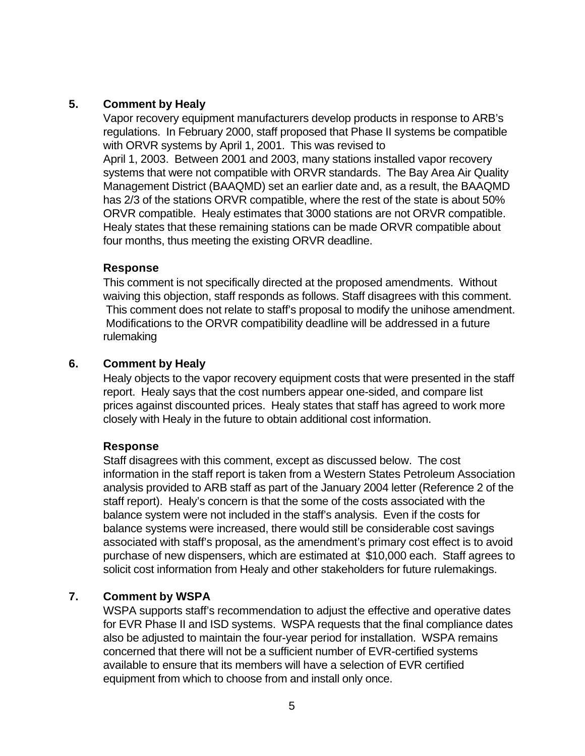## **5. Comment by Healy**

Vapor recovery equipment manufacturers develop products in response to ARB's regulations. In February 2000, staff proposed that Phase II systems be compatible with ORVR systems by April 1, 2001. This was revised to April 1, 2003. Between 2001 and 2003, many stations installed vapor recovery systems that were not compatible with ORVR standards. The Bay Area Air Quality Management District (BAAQMD) set an earlier date and, as a result, the BAAQMD has 2/3 of the stations ORVR compatible, where the rest of the state is about 50% ORVR compatible. Healy estimates that 3000 stations are not ORVR compatible. Healy states that these remaining stations can be made ORVR compatible about four months, thus meeting the existing ORVR deadline.

## **Response**

This comment is not specifically directed at the proposed amendments. Without waiving this objection, staff responds as follows. Staff disagrees with this comment. This comment does not relate to staff's proposal to modify the unihose amendment. Modifications to the ORVR compatibility deadline will be addressed in a future rulemaking

## **6. Comment by Healy**

Healy objects to the vapor recovery equipment costs that were presented in the staff report. Healy says that the cost numbers appear one-sided, and compare list prices against discounted prices. Healy states that staff has agreed to work more closely with Healy in the future to obtain additional cost information.

#### **Response**

Staff disagrees with this comment, except as discussed below. The cost information in the staff report is taken from a Western States Petroleum Association analysis provided to ARB staff as part of the January 2004 letter (Reference 2 of the staff report). Healy's concern is that the some of the costs associated with the balance system were not included in the staff's analysis. Even if the costs for balance systems were increased, there would still be considerable cost savings associated with staff's proposal, as the amendment's primary cost effect is to avoid purchase of new dispensers, which are estimated at \$10,000 each. Staff agrees to solicit cost information from Healy and other stakeholders for future rulemakings.

## **7. Comment by WSPA**

WSPA supports staff's recommendation to adjust the effective and operative dates for EVR Phase II and ISD systems. WSPA requests that the final compliance dates also be adjusted to maintain the four-year period for installation. WSPA remains concerned that there will not be a sufficient number of EVR-certified systems available to ensure that its members will have a selection of EVR certified equipment from which to choose from and install only once.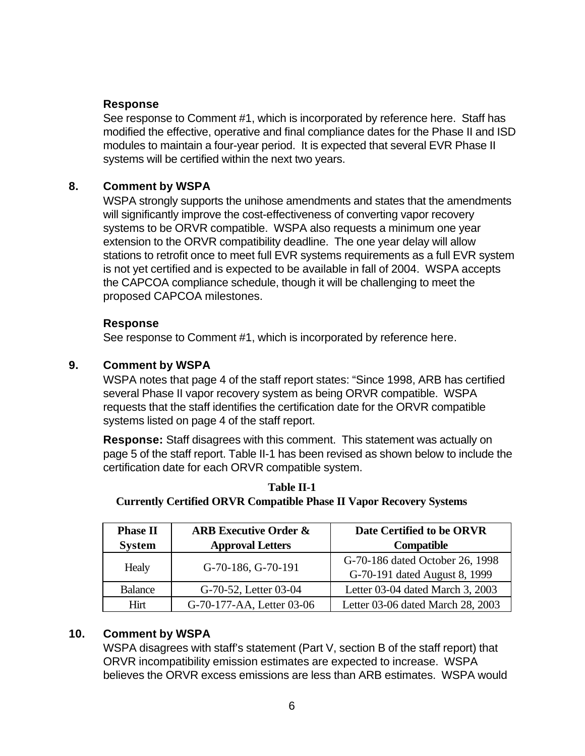## **Response**

See response to Comment #1, which is incorporated by reference here. Staff has modified the effective, operative and final compliance dates for the Phase II and ISD modules to maintain a four-year period. It is expected that several EVR Phase II systems will be certified within the next two years.

## **8. Comment by WSPA**

WSPA strongly supports the unihose amendments and states that the amendments will significantly improve the cost-effectiveness of converting vapor recovery systems to be ORVR compatible. WSPA also requests a minimum one year extension to the ORVR compatibility deadline. The one year delay will allow stations to retrofit once to meet full EVR systems requirements as a full EVR system is not yet certified and is expected to be available in fall of 2004. WSPA accepts the CAPCOA compliance schedule, though it will be challenging to meet the proposed CAPCOA milestones.

## **Response**

See response to Comment #1, which is incorporated by reference here.

# **9. Comment by WSPA**

WSPA notes that page 4 of the staff report states: "Since 1998, ARB has certified several Phase II vapor recovery system as being ORVR compatible. WSPA requests that the staff identifies the certification date for the ORVR compatible systems listed on page 4 of the staff report.

 **Response:** Staff disagrees with this comment. This statement was actually on page 5 of the staff report. Table II-1 has been revised as shown below to include the certification date for each ORVR compatible system.

| <b>Phase II</b> | <b>ARB Executive Order &amp;</b> | Date Certified to be ORVR                                        |
|-----------------|----------------------------------|------------------------------------------------------------------|
| <b>System</b>   | <b>Approval Letters</b>          | Compatible                                                       |
| Healy           | G-70-186, G-70-191               | G-70-186 dated October 26, 1998<br>G-70-191 dated August 8, 1999 |
| <b>Balance</b>  | G-70-52, Letter 03-04            | Letter 03-04 dated March 3, 2003                                 |
| Hirt            | G-70-177-AA, Letter 03-06        | Letter 03-06 dated March 28, 2003                                |

**Table II-1 Currently Certified ORVR Compatible Phase II Vapor Recovery Systems** 

# **10. Comment by WSPA**

WSPA disagrees with staff's statement (Part V, section B of the staff report) that ORVR incompatibility emission estimates are expected to increase. WSPA believes the ORVR excess emissions are less than ARB estimates. WSPA would